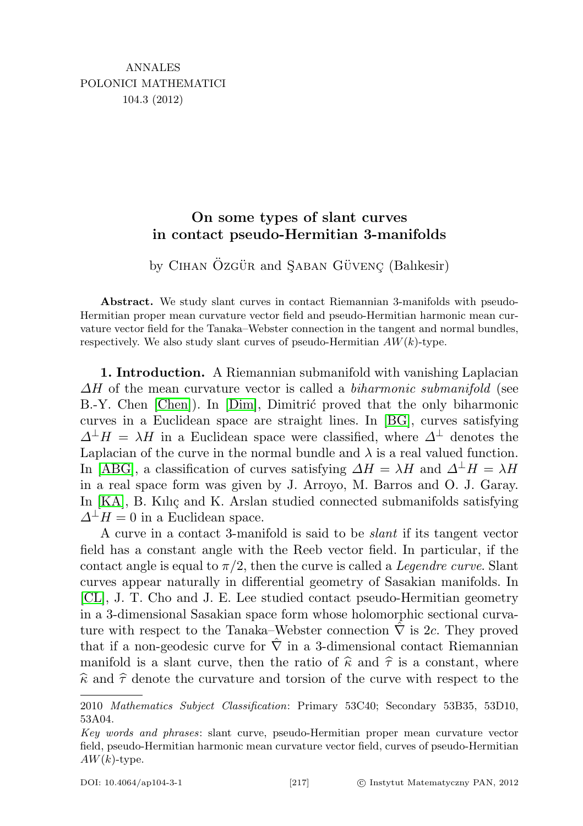## On some types of slant curves in contact pseudo-Hermitian 3-manifolds

by CIHAN ÖZGÜR and SABAN GÜVENC (Balıkesir)

Abstract. We study slant curves in contact Riemannian 3-manifolds with pseudo-Hermitian proper mean curvature vector field and pseudo-Hermitian harmonic mean curvature vector field for the Tanaka–Webster connection in the tangent and normal bundles, respectively. We also study slant curves of pseudo-Hermitian  $AW(k)$ -type.

1. Introduction. A Riemannian submanifold with vanishing Laplacian  $\Delta H$  of the mean curvature vector is called a *biharmonic submanifold* (see B.-Y. Chen [\[Chen\]](#page-10-0)). In [\[Dim\]](#page-11-0), Dimitric proved that the only biharmonic curves in a Euclidean space are straight lines. In [\[BG\]](#page-10-1), curves satisfying  $\Delta^{\perp}H = \lambda H$  in a Euclidean space were classified, where  $\Delta^{\perp}$  denotes the Laplacian of the curve in the normal bundle and  $\lambda$  is a real valued function. In [\[ABG\]](#page-10-2), a classification of curves satisfying  $\Delta H = \lambda H$  and  $\Delta^{\perp} H = \lambda H$ in a real space form was given by J. Arroyo, M. Barros and O. J. Garay. In  $[KA]$ , B. Kiliç and K. Arslan studied connected submanifolds satisfying  $\Delta^{\perp}H=0$  in a Euclidean space.

A curve in a contact 3-manifold is said to be slant if its tangent vector field has a constant angle with the Reeb vector field. In particular, if the contact angle is equal to  $\pi/2$ , then the curve is called a *Legendre curve*. Slant curves appear naturally in differential geometry of Sasakian manifolds. In [\[CL\]](#page-11-2), J. T. Cho and J. E. Lee studied contact pseudo-Hermitian geometry in a 3-dimensional Sasakian space form whose holomorphic sectional curvature with respect to the Tanaka–Webster connection  $\hat{\nabla}$  is 2c. They proved that if a non-geodesic curve for  $\hat{\nabla}$  in a 3-dimensional contact Riemannian manifold is a slant curve, then the ratio of  $\hat{\kappa}$  and  $\hat{\tau}$  is a constant, where  $\hat{\kappa}$  and  $\hat{\tau}$  denote the curvature and torsion of the curve with respect to the

<sup>2010</sup> Mathematics Subject Classification: Primary 53C40; Secondary 53B35, 53D10, 53A04.

Key words and phrases: slant curve, pseudo-Hermitian proper mean curvature vector field, pseudo-Hermitian harmonic mean curvature vector field, curves of pseudo-Hermitian  $AW(k)$ -type.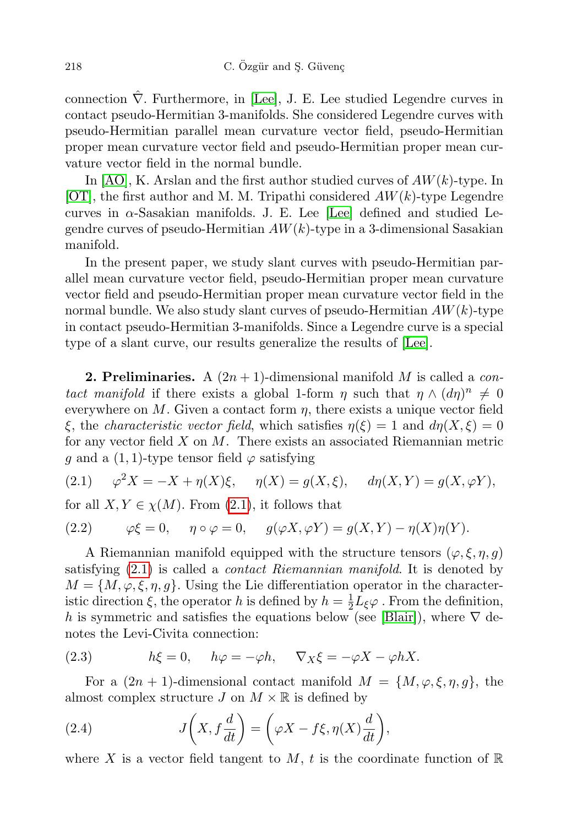connection  $\nabla$ . Furthermore, in [\[Lee\]](#page-11-3), J. E. Lee studied Legendre curves in contact pseudo-Hermitian 3-manifolds. She considered Legendre curves with pseudo-Hermitian parallel mean curvature vector field, pseudo-Hermitian proper mean curvature vector field and pseudo-Hermitian proper mean curvature vector field in the normal bundle.

In  $[AO]$ , K. Arslan and the first author studied curves of  $AW(k)$ -type. In [\[OT\]](#page-11-4), the first author and M. M. Tripathi considered  $AW(k)$ -type Legendre curves in  $\alpha$ -Sasakian manifolds. J. E. Lee [\[Lee\]](#page-11-3) defined and studied Legendre curves of pseudo-Hermitian  $AW(k)$ -type in a 3-dimensional Sasakian manifold.

In the present paper, we study slant curves with pseudo-Hermitian parallel mean curvature vector field, pseudo-Hermitian proper mean curvature vector field and pseudo-Hermitian proper mean curvature vector field in the normal bundle. We also study slant curves of pseudo-Hermitian  $AW(k)$ -type in contact pseudo-Hermitian 3-manifolds. Since a Legendre curve is a special type of a slant curve, our results generalize the results of [\[Lee\]](#page-11-3).

**2. Preliminaries.** A  $(2n+1)$ -dimensional manifold M is called a *con*tact manifold if there exists a global 1-form  $\eta$  such that  $\eta \wedge (d\eta)^n \neq 0$ everywhere on M. Given a contact form  $\eta$ , there exists a unique vector field ξ, the *characteristic vector field*, which satisfies  $\eta(\xi) = 1$  and  $d\eta(X,\xi) = 0$ for any vector field  $X$  on  $M$ . There exists an associated Riemannian metric g and a  $(1, 1)$ -type tensor field  $\varphi$  satisfying

<span id="page-1-0"></span>(2.1) 
$$
\varphi^2 X = -X + \eta(X)\xi, \quad \eta(X) = g(X,\xi), \quad d\eta(X,Y) = g(X,\varphi Y),
$$

for all  $X, Y \in \chi(M)$ . From [\(2.1\)](#page-1-0), it follows that

(2.2) 
$$
\varphi\xi = 0, \quad \eta \circ \varphi = 0, \quad g(\varphi X, \varphi Y) = g(X, Y) - \eta(X)\eta(Y).
$$

A Riemannian manifold equipped with the structure tensors  $(\varphi, \xi, \eta, g)$ satisfying [\(2.1\)](#page-1-0) is called a contact Riemannian manifold. It is denoted by  $M = \{M, \varphi, \xi, \eta, g\}.$  Using the Lie differentiation operator in the characteristic direction  $\xi$ , the operator h is defined by  $h = \frac{1}{2}$  $\frac{1}{2}L_{\xi}\varphi$ . From the definition, h is symmetric and satisfies the equations below (see [\[Blair\]](#page-10-4)), where  $\nabla$  denotes the Levi-Civita connection:

<span id="page-1-1"></span>(2.3) 
$$
h\xi = 0
$$
,  $h\varphi = -\varphi h$ ,  $\nabla_X \xi = -\varphi X - \varphi h X$ .

For a  $(2n + 1)$ -dimensional contact manifold  $M = \{M, \varphi, \xi, \eta, g\}$ , the almost complex structure J on  $M \times \mathbb{R}$  is defined by

(2.4) 
$$
J\left(X, f\frac{d}{dt}\right) = \left(\varphi X - f\xi, \eta(X)\frac{d}{dt}\right),
$$

where X is a vector field tangent to M, t is the coordinate function of  $\mathbb R$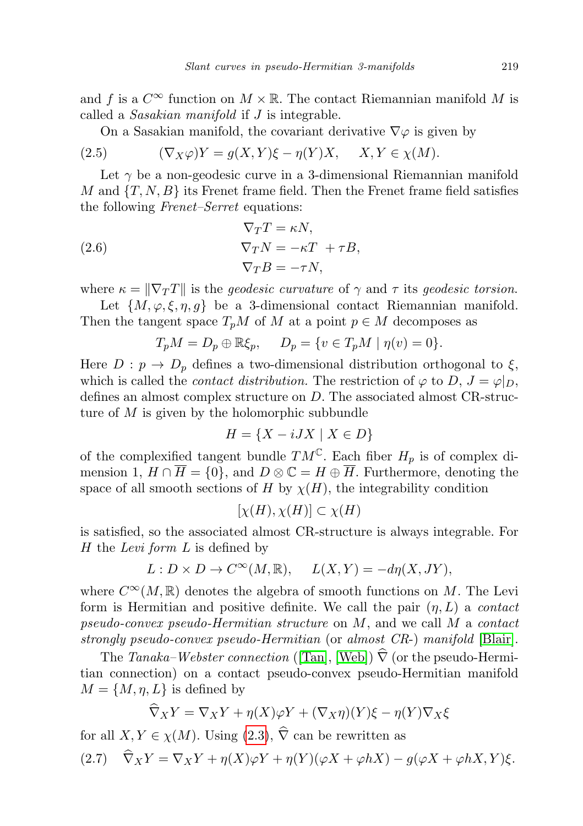and f is a  $C^{\infty}$  function on  $M \times \mathbb{R}$ . The contact Riemannian manifold M is called a Sasakian manifold if J is integrable.

On a Sasakian manifold, the covariant derivative  $\nabla\varphi$  is given by

(2.5) 
$$
(\nabla_X \varphi)Y = g(X, Y)\xi - \eta(Y)X, \quad X, Y \in \chi(M).
$$

Let  $\gamma$  be a non-geodesic curve in a 3-dimensional Riemannian manifold M and  $\{T, N, B\}$  its Frenet frame field. Then the Frenet frame field satisfies the following Frenet–Serret equations:

(2.6) 
$$
\nabla_T T = \kappa N,
$$

$$
\nabla_T N = -\kappa T + \tau B,
$$

$$
\nabla_T B = -\tau N,
$$

where  $\kappa = \|\nabla_T T\|$  is the *geodesic curvature* of  $\gamma$  and  $\tau$  its *geodesic torsion*.

Let  $\{M, \varphi, \xi, \eta, q\}$  be a 3-dimensional contact Riemannian manifold. Then the tangent space  $T_pM$  of M at a point  $p \in M$  decomposes as

$$
T_pM = D_p \oplus \mathbb{R}\xi_p, \quad D_p = \{v \in T_pM \mid \eta(v) = 0\}.
$$

Here  $D : p \to D_p$  defines a two-dimensional distribution orthogonal to  $\xi$ , which is called the *contact distribution*. The restriction of  $\varphi$  to D,  $J = \varphi|_{D}$ , defines an almost complex structure on D. The associated almost CR-structure of M is given by the holomorphic subbundle

$$
H = \{ X - iJX \mid X \in D \}
$$

of the complexified tangent bundle  $TM^{\mathbb{C}}$ . Each fiber  $H_p$  is of complex dimension 1,  $H \cap \overline{H} = \{0\}$ , and  $D \otimes \mathbb{C} = H \oplus \overline{H}$ . Furthermore, denoting the space of all smooth sections of H by  $\chi(H)$ , the integrability condition

$$
[\chi(H), \chi(H)] \subset \chi(H)
$$

is satisfied, so the associated almost CR-structure is always integrable. For H the Levi form L is defined by

$$
L: D \times D \to C^{\infty}(M, \mathbb{R}), \quad L(X, Y) = -d\eta(X, JY),
$$

where  $C^{\infty}(M,\mathbb{R})$  denotes the algebra of smooth functions on M. The Levi form is Hermitian and positive definite. We call the pair  $(\eta, L)$  a *contact* pseudo-convex pseudo-Hermitian structure on  $M$ , and we call  $M$  a contact strongly pseudo-convex pseudo-Hermitian (or almost CR-) manifold [\[Blair\]](#page-10-4).

The Tanaka–Webster connection ([\[Tan\]](#page-11-5), [\[Web\]](#page-11-6))  $\hat{\nabla}$  (or the pseudo-Hermitian connection) on a contact pseudo-convex pseudo-Hermitian manifold  $M = \{M, \eta, L\}$  is defined by

$$
\widehat{\nabla}_X Y = \nabla_X Y + \eta(X)\varphi Y + (\nabla_X \eta)(Y)\xi - \eta(Y)\nabla_X \xi
$$

<span id="page-2-0"></span>for all  $X, Y \in \chi(M)$ . Using [\(2.3\)](#page-1-1),  $\widehat{\nabla}$  can be rewritten as (2.7)  $\widehat{\nabla}_X Y = \nabla_X Y + \eta(X)\varphi Y + \eta(Y)(\varphi X + \varphi hX) - g(\varphi X + \varphi hX, Y)\xi.$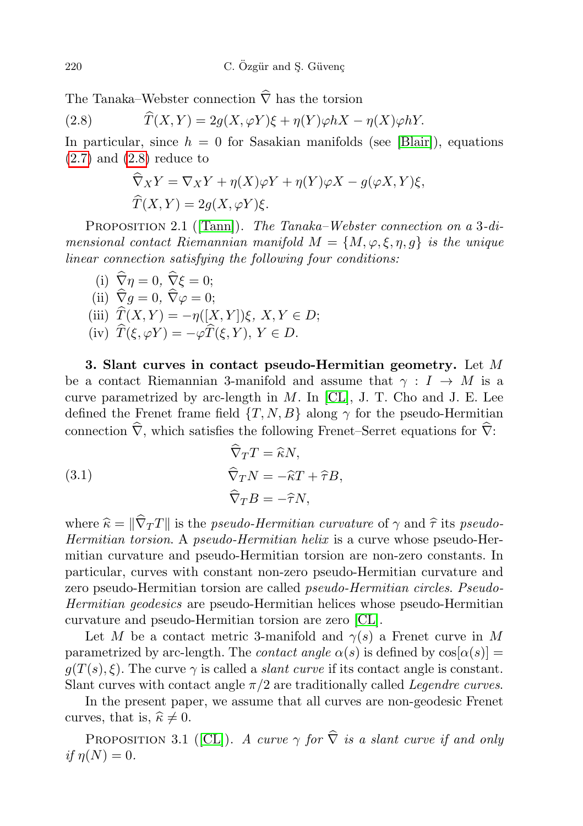The Tanaka–Webster connection  $\hat{\nabla}$  has the torsion

(2.8) 
$$
\widehat{T}(X,Y) = 2g(X,\varphi Y)\xi + \eta(Y)\varphi hX - \eta(X)\varphi hY.
$$

In particular, since  $h = 0$  for Sasakian manifolds (see [\[Blair\]](#page-10-4)), equations  $(2.7)$  and  $(2.8)$  reduce to

<span id="page-3-0"></span>
$$
\widehat{\nabla}_X Y = \nabla_X Y + \eta(X)\varphi Y + \eta(Y)\varphi X - g(\varphi X, Y)\xi,
$$
  

$$
\widehat{T}(X, Y) = 2g(X, \varphi Y)\xi.
$$

PROPOSITION 2.1 ([\[Tann\]](#page-11-7)). The Tanaka–Webster connection on a 3-dimensional contact Riemannian manifold  $M = \{M, \varphi, \xi, \eta, q\}$  is the unique linear connection satisfying the following four conditions:

(i) 
$$
\widehat{\nabla}\eta = 0
$$
,  $\widehat{\nabla}\xi = 0$ ;  
\n(ii)  $\widehat{\nabla}g = 0$ ,  $\widehat{\nabla}\varphi = 0$ ;  
\n(iii)  $\widehat{T}(X, Y) = -\eta([X, Y])\xi$ ,  $X, Y \in D$ ;  
\n(iv)  $\widehat{T}(\xi, \varphi Y) = -\varphi \widehat{T}(\xi, Y), Y \in D$ .

3. Slant curves in contact pseudo-Hermitian geometry. Let  $M$ be a contact Riemannian 3-manifold and assume that  $\gamma : I \to M$  is a curve parametrized by arc-length in  $M$ . In [\[CL\]](#page-11-2), J. T. Cho and J. E. Lee defined the Frenet frame field  $\{T, N, B\}$  along  $\gamma$  for the pseudo-Hermitian connection  $\hat{\nabla}$ , which satisfies the following Frenet–Serret equations for  $\hat{\nabla}$ :

<span id="page-3-1"></span>(3.1) 
$$
\nabla_T T = \hat{\kappa} N,
$$

$$
\widehat{\nabla}_T N = -\hat{\kappa} T + \hat{\tau} B,
$$

$$
\widehat{\nabla}_T B = -\hat{\tau} N,
$$

where  $\hat{\kappa} = \|\hat{\nabla}_T T\|$  is the *pseudo-Hermitian curvature* of  $\gamma$  and  $\hat{\tau}$  its *pseudo-*Hermitian torsion. A pseudo-Hermitian helix is a curve whose pseudo-Hermitian curvature and pseudo-Hermitian torsion are non-zero constants. In particular, curves with constant non-zero pseudo-Hermitian curvature and zero pseudo-Hermitian torsion are called pseudo-Hermitian circles. Pseudo-Hermitian geodesics are pseudo-Hermitian helices whose pseudo-Hermitian curvature and pseudo-Hermitian torsion are zero [\[CL\]](#page-11-2).

Let M be a contact metric 3-manifold and  $\gamma(s)$  a Frenet curve in M parametrized by arc-length. The *contact angle*  $\alpha(s)$  is defined by  $\cos[\alpha(s)] =$  $g(T(s), \xi)$ . The curve  $\gamma$  is called a *slant curve* if its contact angle is constant. Slant curves with contact angle  $\pi/2$  are traditionally called *Legendre curves*.

In the present paper, we assume that all curves are non-geodesic Frenet curves, that is,  $\hat{\kappa} \neq 0$ .

PROPOSITION 3.1 ([\[CL\]](#page-11-2)). A curve  $\gamma$  for  $\hat{\nabla}$  is a slant curve if and only if  $\eta(N)=0$ .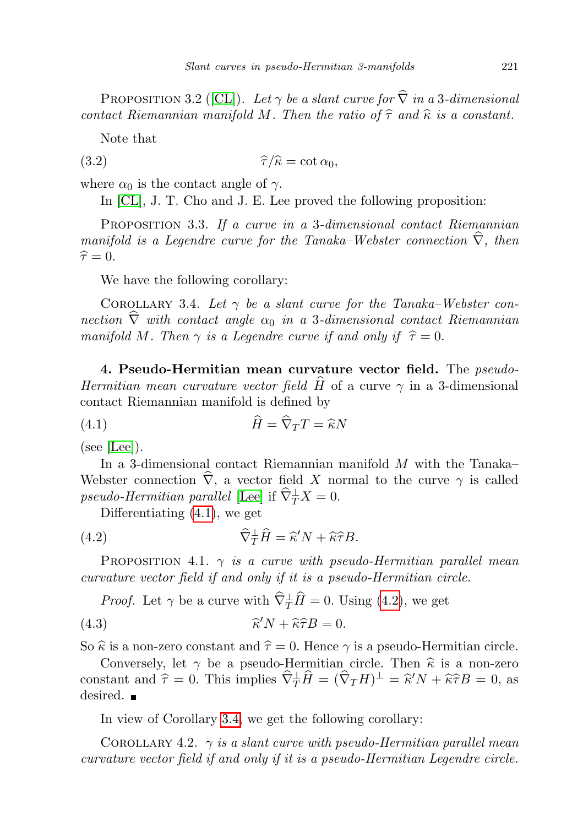PROPOSITION 3.2 ([\[CL\]](#page-11-2)). Let  $\gamma$  be a slant curve for  $\hat{\nabla}$  in a 3-dimensional contact Riemannian manifold M. Then the ratio of  $\hat{\tau}$  and  $\hat{\kappa}$  is a constant.

<span id="page-4-3"></span>Note that

(3.2) 
$$
\widehat{\tau}/\widehat{\kappa} = \cot \alpha_0,
$$

where  $\alpha_0$  is the contact angle of  $\gamma$ .

In [\[CL\]](#page-11-2), J. T. Cho and J. E. Lee proved the following proposition:

PROPOSITION 3.3. If a curve in a 3-dimensional contact Riemannian manifold is a Legendre curve for the Tanaka–Webster connection  $\hat{\nabla}$ , then  $\hat{\tau} = 0.$ 

We have the following corollary:

<span id="page-4-2"></span>COROLLARY 3.4. Let  $\gamma$  be a slant curve for the Tanaka–Webster connection  $\widehat{\nabla}$  with contact angle  $\alpha_0$  in a 3-dimensional contact Riemannian manifold M. Then  $\gamma$  is a Legendre curve if and only if  $\hat{\tau} = 0$ .

4. Pseudo-Hermitian mean curvature vector field. The pseudo-Hermitian mean curvature vector field  $\hat{H}$  of a curve  $\gamma$  in a 3-dimensional contact Riemannian manifold is defined by

<span id="page-4-0"></span>(4.1) 
$$
\widehat{H} = \widehat{\nabla}_T T = \widehat{\kappa} N
$$

(see [\[Lee\]](#page-11-3)).

In a 3-dimensional contact Riemannian manifold M with the Tanaka– Webster connection  $\hat{\nabla}$ , a vector field X normal to the curve  $\gamma$  is called pseudo-Hermitian parallel [\[Lee\]](#page-11-3) if  $\widehat{\nabla}^{\perp}_TX = 0$ .

<span id="page-4-1"></span>Differentiating [\(4.1\)](#page-4-0), we get

(4.2) 
$$
\widehat{\nabla}^{\perp}_T \widehat{H} = \widehat{\kappa}' N + \widehat{\kappa} \widehat{\tau} B.
$$

PROPOSITION 4.1.  $\gamma$  is a curve with pseudo-Hermitian parallel mean curvature vector field if and only if it is a pseudo-Hermitian circle.

*Proof.* Let  $\gamma$  be a curve with  $\widehat{\nabla}_{T}^{\perp}\widehat{H} = 0$ . Using [\(4.2\)](#page-4-1), we get

(4.3) 
$$
\widehat{\kappa}' N + \widehat{\kappa} \widehat{\tau} B = 0.
$$

So  $\hat{\kappa}$  is a non-zero constant and  $\hat{\tau} = 0$ . Hence  $\gamma$  is a pseudo-Hermitian circle.

Conversely, let  $\gamma$  be a pseudo-Hermitian circle. Then  $\hat{\kappa}$  is a non-zero constant and  $\hat{\tau} = 0$ . This implies  $\hat{\nabla}_{T}^{\perp} \hat{H} = (\hat{\nabla}_{T} H)^{\perp} = \hat{\kappa}' N + \hat{\kappa} \hat{\tau} B = 0$ , as desired desired.  $\blacksquare$ 

In view of Corollary [3.4,](#page-4-2) we get the following corollary:

COROLLARY 4.2.  $\gamma$  is a slant curve with pseudo-Hermitian parallel mean curvature vector field if and only if it is a pseudo-Hermitian Legendre circle.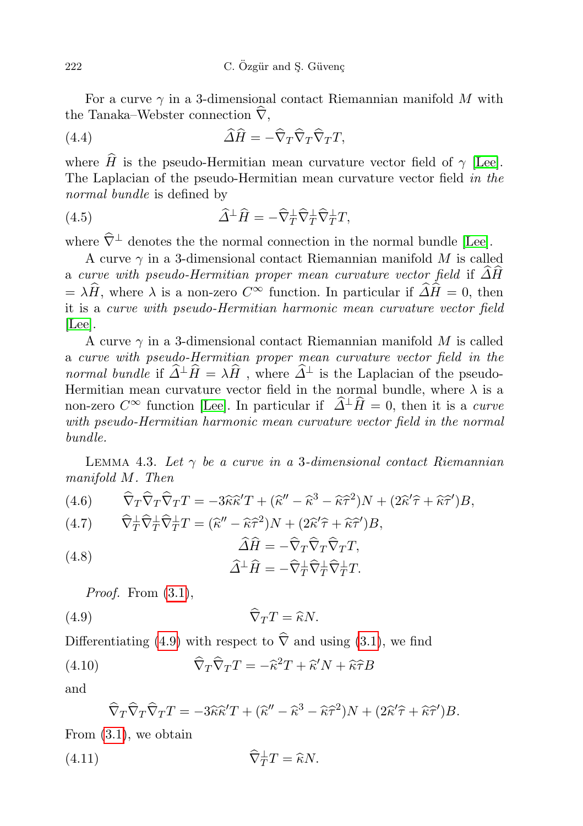For a curve  $\gamma$  in a 3-dimensional contact Riemannian manifold M with the Tanaka–Webster connection  $\hat{\nabla}$ .

<span id="page-5-2"></span>(4.4) 
$$
\widehat{\Delta H} = -\widehat{\nabla}_T \widehat{\nabla}_T \widehat{\nabla}_T T,
$$

where  $\hat{H}$  is the pseudo-Hermitian mean curvature vector field of  $\gamma$  [\[Lee\]](#page-11-3). The Laplacian of the pseudo-Hermitian mean curvature vector field in the normal bundle is defined by

<span id="page-5-3"></span>(4.5) 
$$
\widehat{\Delta}^{\perp}\widehat{H} = -\widehat{\nabla}_{T}^{\perp}\widehat{\nabla}_{T}^{\perp}\widehat{\nabla}_{T}^{\perp}T,
$$

where  $\hat{\nabla}^{\perp}$  denotes the the normal connection in the normal bundle [\[Lee\]](#page-11-3).

A curve  $\gamma$  in a 3-dimensional contact Riemannian manifold M is called a curve with pseudo-Hermitian proper mean curvature vector field if  $\Delta H$  $=\lambda \widehat{H}$ , where  $\lambda$  is a non-zero  $C^{\infty}$  function. In particular if  $\widehat{\Delta} \widehat{H} = 0$ , then it is a curve with pseudo-Hermitian harmonic mean curvature vector field [\[Lee\]](#page-11-3).

A curve  $\gamma$  in a 3-dimensional contact Riemannian manifold M is called a curve with pseudo-Hermitian proper mean curvature vector field in the normal bundle if  $\widehat{\Delta}^{\perp}\widehat{H} = \lambda\widehat{H}$ , where  $\widehat{\Delta}^{\perp}$  is the Laplacian of the pseudo-Hermitian mean curvature vector field in the normal bundle, where  $\lambda$  is a non-zero  $C^{\infty}$  function [\[Lee\]](#page-11-3). In particular if  $\hat{\Delta}^{\perp}\hat{H} = 0$ , then it is a *curve* with pseudo-Hermitian harmonic mean curvature vector field in the normal bundle.

<span id="page-5-5"></span>LEMMA 4.3. Let  $\gamma$  be a curve in a 3-dimensional contact Riemannian manifold M. Then

<span id="page-5-6"></span>
$$
(4.6) \qquad \widehat{\nabla}_{T}\widehat{\nabla}_{T}\widehat{\nabla}_{T}T = -3\widehat{\kappa}\widehat{\kappa}'T + (\widehat{\kappa}'' - \widehat{\kappa}^{3} - \widehat{\kappa}\widehat{\tau}^{2})N + (2\widehat{\kappa}'\widehat{\tau} + \widehat{\kappa}\widehat{\tau}')B,
$$

$$
(4.7) \qquad \widehat{\nabla}_{T}^{\perp} \widehat{\nabla}_{T}^{\perp} \widehat{\nabla}_{T}^{\perp} T = (\widehat{\kappa}'' - \widehat{\kappa} \widehat{\tau}^{2}) N + (2 \widehat{\kappa}' \widehat{\tau} + \widehat{\kappa} \widehat{\tau}') B,
$$

<span id="page-5-4"></span>(4.8) 
$$
\Delta H = -\nabla_T \nabla_T \nabla_T T,
$$

$$
\widehat{\Delta}^{\perp} \widehat{H} = -\widehat{\nabla}^{\perp}_T \widehat{\nabla}^{\perp}_T \widehat{\nabla}^{\perp}_T T.
$$

<span id="page-5-0"></span>*Proof.* From  $(3.1)$ ,

$$
\widehat{\nabla}_T T = \widehat{\kappa} N.
$$

Differentiating [\(4.9\)](#page-5-0) with respect to  $\hat{\nabla}$  and using [\(3.1\)](#page-3-1), we find

(4.10) 
$$
\widehat{\nabla}_T \widehat{\nabla}_T T = -\widehat{\kappa}^2 T + \widehat{\kappa}' N + \widehat{\kappa} \widehat{\tau} B
$$

and

<span id="page-5-7"></span><span id="page-5-1"></span>
$$
\widehat{\nabla}_T \widehat{\nabla}_T \widehat{\nabla}_T T = -3\widehat{\kappa}\widehat{\kappa}' T + (\widehat{\kappa}'' - \widehat{\kappa}^3 - \widehat{\kappa}\widehat{\tau}^2)N + (2\widehat{\kappa}'\widehat{\tau} + \widehat{\kappa}\widehat{\tau}')B.
$$

From [\(3.1\)](#page-3-1), we obtain

(4.11) 
$$
\widehat{\nabla}_T^{\perp}T = \widehat{\kappa}N.
$$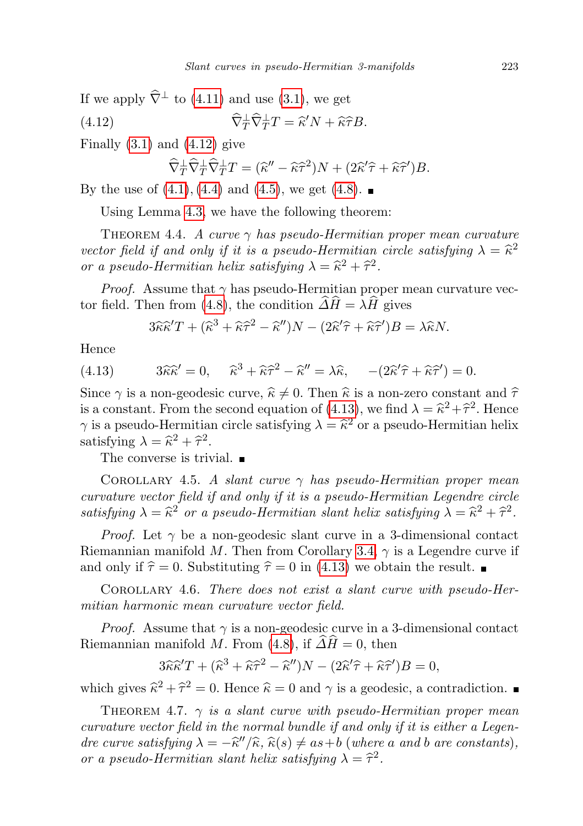If we apply  $\widehat{\nabla}^{\perp}$  to [\(4.11\)](#page-5-1) and use [\(3.1\)](#page-3-1), we get

(4.12) 
$$
\widehat{\nabla}^{\perp}_T \widehat{\nabla}^{\perp}_T T = \widehat{\kappa}' N + \widehat{\kappa} \widehat{\tau} B.
$$

Finally  $(3.1)$  and  $(4.12)$  give

<span id="page-6-0"></span>
$$
\widehat{\nabla}_{T}^{\perp} \widehat{\nabla}_{T}^{\perp} \widehat{\nabla}_{T}^{\perp} T = (\widehat{\kappa}'' - \widehat{\kappa}\widehat{\tau}^{2})N + (2\widehat{\kappa}'\widehat{\tau} + \widehat{\kappa}\widehat{\tau}')B.
$$

By the use of  $(4.1), (4.4)$  $(4.1), (4.4)$  $(4.1), (4.4)$  $(4.1), (4.4)$  $(4.1), (4.4)$  and  $(4.5),$  we get  $(4.8).$  $(4.8).$  $(4.8).$ 

Using Lemma [4.3,](#page-5-5) we have the following theorem:

THEOREM 4.4. A curve  $\gamma$  has pseudo-Hermitian proper mean curvature vector field if and only if it is a pseudo-Hermitian circle satisfying  $\lambda = \hat{\kappa}^2$ <br>or a pseudo-Hermitian belix satisfying  $\lambda = \hat{\kappa}^2 + \hat{\kappa}^2$ or a pseudo-Hermitian helix satisfying  $\lambda = \hat{\kappa}^2 + \hat{\tau}^2$ .

*Proof.* Assume that  $\gamma$  has pseudo-Hermitian proper mean curvature vec-tor field. Then from [\(4.8\)](#page-5-4), the condition  $\widehat{\Delta H} = \lambda \widehat{H}$  gives

<span id="page-6-1"></span>
$$
3\widehat{\kappa}\widehat{\kappa}'T + (\widehat{\kappa}^3 + \widehat{\kappa}\widehat{\tau}^2 - \widehat{\kappa}'')N - (2\widehat{\kappa}'\widehat{\tau} + \widehat{\kappa}\widehat{\tau}')B = \lambda\widehat{\kappa}N.
$$

Hence

(4.13) 
$$
3\hat{\kappa}\hat{\kappa}' = 0, \quad \hat{\kappa}^3 + \hat{\kappa}\hat{\tau}^2 - \hat{\kappa}'' = \lambda\hat{\kappa}, \quad -(2\hat{\kappa}'\hat{\tau} + \hat{\kappa}\hat{\tau}') = 0.
$$

Since  $\gamma$  is a non-geodesic curve,  $\hat{\kappa} \neq 0$ . Then  $\hat{\kappa}$  is a non-zero constant and  $\hat{\tau}$ <br>is a constant. From the second countion of (4.13), we find  $\lambda = \hat{\kappa}^2 + \hat{\kappa}^2$ . Hence is a constant. From the second equation of  $(4.13)$ , we find  $\lambda = \hat{\kappa}^2 + \hat{\tau}^2$ . Hence  $\gamma$  is a pseudo-Hermitian circle satisfying  $\lambda = \hat{\kappa}^2$  or a pseudo-Hermitian helix<br>satisfying  $\lambda = \hat{\kappa}^2 + \hat{\kappa}^2$ satisfying  $\lambda = \hat{\kappa}^2 + \hat{\tau}^2$ .<br>The converse is trivi

The converse is trivial.  $\blacksquare$ 

COROLLARY 4.5. A slant curve  $\gamma$  has pseudo-Hermitian proper mean curvature vector field if and only if it is a pseudo-Hermitian Legendre circle satisfying  $\lambda = \hat{\kappa}^2$  or a pseudo-Hermitian slant helix satisfying  $\lambda = \hat{\kappa}^2 + \hat{\tau}^2$ .

*Proof.* Let  $\gamma$  be a non-geodesic slant curve in a 3-dimensional contact Riemannian manifold M. Then from Corollary [3.4,](#page-4-2)  $\gamma$  is a Legendre curve if and only if  $\hat{\tau} = 0$ . Substituting  $\hat{\tau} = 0$  in [\(4.13\)](#page-6-1) we obtain the result.

COROLLARY 4.6. There does not exist a slant curve with pseudo-Hermitian harmonic mean curvature vector field.

*Proof.* Assume that  $\gamma$  is a non-geodesic curve in a 3-dimensional contact Riemannian manifold M. From [\(4.8\)](#page-5-4), if  $\widehat{\Delta H} = 0$ , then

$$
3\widehat{\kappa}\widehat{\kappa}'T + (\widehat{\kappa}^3 + \widehat{\kappa}\widehat{\tau}^2 - \widehat{\kappa}'')N - (2\widehat{\kappa}'\widehat{\tau} + \widehat{\kappa}\widehat{\tau}')B = 0,
$$

which gives  $\hat{\kappa}^2 + \hat{\tau}^2 = 0$ . Hence  $\hat{\kappa} = 0$  and  $\gamma$  is a geodesic, a contradiction.

THEOREM 4.7.  $\gamma$  is a slant curve with pseudo-Hermitian proper mean curvature vector field in the normal bundle if and only if it is either a Legendre curve satisfying  $\lambda = -\hat{\kappa}''/\hat{\kappa}, \hat{\kappa}(s) \neq as+b$  (where a and b are constants),<br>or a pseudo Hermitian clant helix satisfying  $\lambda = \hat{\kappa}^2$ or a pseudo-Hermitian slant helix satisfying  $\lambda = \hat{\tau}^2$ .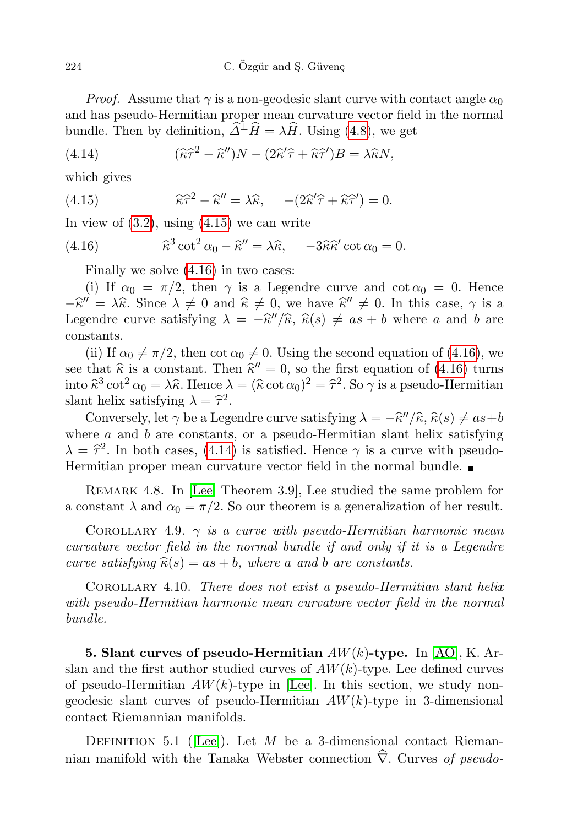*Proof.* Assume that  $\gamma$  is a non-geodesic slant curve with contact angle  $\alpha_0$ and has pseudo-Hermitian proper mean curvature vector field in the normal bundle. Then by definition,  $\widehat{\Delta}^{\perp}\widehat{H} = \lambda\widehat{H}$ . Using [\(4.8\)](#page-5-4), we get

<span id="page-7-2"></span>(4.14) 
$$
(\widehat{\kappa}\widehat{\tau}^2 - \widehat{\kappa}'')N - (2\widehat{\kappa}'\widehat{\tau} + \widehat{\kappa}\widehat{\tau}')B = \lambda \widehat{\kappa}N,
$$

which gives

<span id="page-7-0"></span>(4.15) 
$$
\widehat{\kappa}\widehat{\tau}^2 - \widehat{\kappa}'' = \lambda \widehat{\kappa}, \quad -(2\widehat{\kappa}'\widehat{\tau} + \widehat{\kappa}\widehat{\tau}') = 0.
$$

In view of  $(3.2)$ , using  $(4.15)$  we can write

(4.16) 
$$
\widehat{\kappa}^3 \cot^2 \alpha_0 - \widehat{\kappa}'' = \lambda \widehat{\kappa}, \quad -3\widehat{\kappa}\widehat{\kappa}' \cot \alpha_0 = 0.
$$

<span id="page-7-1"></span>Finally we solve [\(4.16\)](#page-7-1) in two cases:

(i) If  $\alpha_0 = \pi/2$ , then  $\gamma$  is a Legendre curve and cot  $\alpha_0 = 0$ . Hence  $-\hat{\kappa}'' = \lambda \hat{\kappa}$ . Since  $\lambda \neq 0$  and  $\hat{\kappa} \neq 0$ , we have  $\hat{\kappa}'' \neq 0$ . In this case,  $\gamma$  is a Logondra curve satisfying  $\lambda = -\hat{\kappa}''/\hat{\kappa}$   $\hat{\kappa}(s) \neq a s + b$  where a and b are Legendre curve satisfying  $\lambda = -\hat{\kappa}''/\hat{\kappa}, \hat{\kappa}(s) \neq as + b$  where a and b are constants.

(ii) If  $\alpha_0 \neq \pi/2$ , then cot  $\alpha_0 \neq 0$ . Using the second equation of [\(4.16\)](#page-7-1), we see that  $\hat{\kappa}$  is a constant. Then  $\hat{\kappa}'' = 0$ , so the first equation of [\(4.16\)](#page-7-1) turns<br>into  $\hat{\kappa}^3 \cot^2 \alpha_s = \lambda \hat{\kappa}$ . Hence  $\lambda = (\hat{\kappa} \cot \alpha_s)^2 = \hat{\kappa}^2$ . So  $\alpha$  is a pseudo-Hermitian into  $\hat{\kappa}^3 \cot^2 \alpha_0 = \lambda \hat{\kappa}$ . Hence  $\lambda = (\hat{\kappa} \cot \alpha_0)^2 = \hat{\tau}^2$ . So  $\gamma$  is a pseudo-Hermitian short belig satisfying  $\lambda = \hat{\tau}^2$ slant helix satisfying  $\lambda = \hat{\tau}^2$ .<br>Conversely let  $\hat{\epsilon}$  be a Lex

Conversely, let  $\gamma$  be a Legendre curve satisfying  $\lambda = -\hat{\kappa}''/\hat{\kappa}, \hat{\kappa}(s) \neq as+b$ <br>are a and b are constants, or a pseudo-Hermitian slaps helix satisfying where  $a$  and  $b$  are constants, or a pseudo-Hermitian slant helix satisfying  $\lambda = \hat{\tau}^2$ . In both cases, [\(4.14\)](#page-7-2) is satisfied. Hence  $\gamma$  is a curve with pseudo-<br>Hermitian proper mean curvature vector field in the permal bundle Hermitian proper mean curvature vector field in the normal bundle.

Remark 4.8. In [\[Lee,](#page-11-3) Theorem 3.9], Lee studied the same problem for a constant  $\lambda$  and  $\alpha_0 = \pi/2$ . So our theorem is a generalization of her result.

COROLLARY 4.9.  $\gamma$  is a curve with pseudo-Hermitian harmonic mean curvature vector field in the normal bundle if and only if it is a Legendre curve satisfying  $\hat{\kappa}(s) = as + b$ , where a and b are constants.

Corollary 4.10. There does not exist a pseudo-Hermitian slant helix with pseudo-Hermitian harmonic mean curvature vector field in the normal bundle.

**5. Slant curves of pseudo-Hermitian**  $AW(k)$ -type. In [\[AO\]](#page-10-3), K. Arslan and the first author studied curves of  $AW(k)$ -type. Lee defined curves of pseudo-Hermitian  $AW(k)$ -type in [\[Lee\]](#page-11-3). In this section, we study nongeodesic slant curves of pseudo-Hermitian  $AW(k)$ -type in 3-dimensional contact Riemannian manifolds.

DEFINITION 5.1 ([\[Lee\]](#page-11-3)). Let  $M$  be a 3-dimensional contact Riemannian manifold with the Tanaka–Webster connection  $\hat{\nabla}$ . Curves of pseudo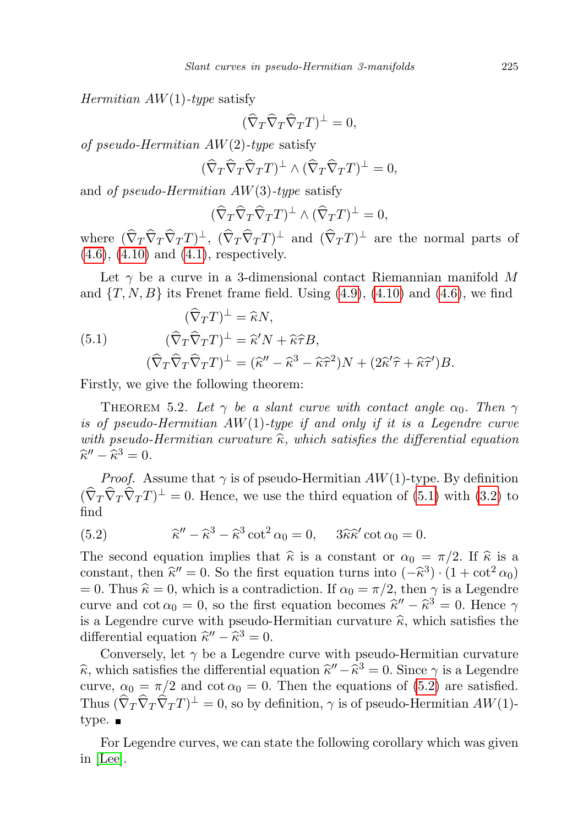*Hermitian AW* $(1)$ -type satisfy

$$
(\widehat{\nabla}_T\widehat{\nabla}_T\widehat{\nabla}_T T)^{\perp}=0,
$$

of pseudo-Hermitian  $AW(2)$ -type satisfy

$$
(\widehat{\nabla}_T \widehat{\nabla}_T \widehat{\nabla}_T T)^{\perp} \wedge (\widehat{\nabla}_T \widehat{\nabla}_T T)^{\perp} = 0,
$$

and of pseudo-Hermitian  $AW(3)$ -type satisfy

$$
(\widehat{\nabla}_T \widehat{\nabla}_T \widehat{\nabla}_T T)^{\perp} \wedge (\widehat{\nabla}_T T)^{\perp} = 0,
$$

where  $(\nabla_T \nabla_T \nabla_T T)^{\perp}$ ,  $(\nabla_T \nabla_T T)^{\perp}$  and  $(\nabla_T T)^{\perp}$  are the normal parts of (4.[6\)](#page-5-6), (4.[10\)](#page-5-7) and (4.[1\)](#page-4-0), respectively.

Let  $\gamma$  be a curve in a 3-dimensional contact Riemannian manifold M and  $\{T, N, B\}$  its Frenet frame field. Using  $(4.9)$ ,  $(4.10)$  and  $(4.6)$ , we find

<span id="page-8-0"></span>(5.1) 
$$
(\widehat{\nabla}_T T)^{\perp} = \widehat{\kappa} N,
$$

$$
(\widehat{\nabla}_T \widehat{\nabla}_T T)^{\perp} = \widehat{\kappa}' N + \widehat{\kappa} \widehat{\tau} B,
$$

$$
(\widehat{\nabla}_T \widehat{\nabla}_T \widehat{\nabla}_T T)^{\perp} = (\widehat{\kappa}'' - \widehat{\kappa}^3 - \widehat{\kappa} \widehat{\tau}^2) N + (2\widehat{\kappa}' \widehat{\tau} + \widehat{\kappa} \widehat{\tau}') B.
$$

Firstly, we give the following theorem:

<span id="page-8-2"></span>THEOREM 5.2. Let  $\gamma$  be a slant curve with contact angle  $\alpha_0$ . Then  $\gamma$ is of pseudo-Hermitian  $AW(1)$ -type if and only if it is a Legendre curve with pseudo-Hermitian curvature  $\hat{\kappa}$ , which satisfies the differential equation  $\widehat{\kappa}'' - \widehat{\kappa}^3 = 0.$ 

*Proof.* Assume that  $\gamma$  is of pseudo-Hermitian  $AW(1)$ -type. By definition  $(\widehat{\nabla}_T \widehat{\nabla}_T \widehat{\nabla}_T T)^{\perp} = 0$ . Hence, we use the third equation of [\(5.1\)](#page-8-0) with [\(3.2\)](#page-4-3) to find

<span id="page-8-1"></span>(5.2) 
$$
\widehat{\kappa}'' - \widehat{\kappa}^3 - \widehat{\kappa}^3 \cot^2 \alpha_0 = 0, \quad 3\widehat{\kappa}\widehat{\kappa}' \cot \alpha_0 = 0.
$$

The second equation implies that  $\hat{\kappa}$  is a constant or  $\alpha_0 = \pi/2$ . If  $\hat{\kappa}$  is a constant then  $\hat{\kappa}'' = 0$ . So the first equation turns into  $(\hat{\kappa}^3)$ ,  $(1 + \cot^2 \alpha_2)$ constant, then  $\hat{\kappa}'' = 0$ . So the first equation turns into  $(-\hat{\kappa}^3) \cdot (1 + \cot^2 \alpha_0)$ <br>= 0. Thus  $\hat{\kappa} = 0$ , which is a contradiction. If  $\alpha_0 = \pi/2$ , then  $\alpha$  is a Logardro = 0. Thus  $\hat{\kappa} = 0$ , which is a contradiction. If  $\alpha_0 = \pi/2$ , then  $\gamma$  is a Legendre curve and  $\cot \alpha_0 = 0$ , so the first equation becomes  $\hat{\kappa}'' - \hat{\kappa}^3 = 0$ . Hence  $\gamma$ is a Legendre curve with pseudo-Hermitian curvature  $\hat{\kappa}$ , which satisfies the differential equation  $\hat{\kappa}'' - \hat{\kappa}^3 = 0$ .<br>Conversely let  $\alpha$  be a Lexand

Conversely, let  $\gamma$  be a Legendre curve with pseudo-Hermitian curvature  $\hat{\kappa}$ , which satisfies the differential equation  $\hat{\kappa}'' - \hat{\kappa}^3 = 0$ . Since  $\gamma$  is a Legendre curve,  $\alpha_0 = \pi/2$  and  $\cot \alpha_0 = 0$ . Then the equations of [\(5.2\)](#page-8-1) are satisfied. Thus  $(\widehat{\nabla}_T \widehat{\nabla}_T \widehat{\nabla}_T T)^{\perp} = 0$ , so by definition,  $\gamma$  is of pseudo-Hermitian  $AW(1)$ type.  $\blacksquare$ 

For Legendre curves, we can state the following corollary which was given in [\[Lee\]](#page-11-3).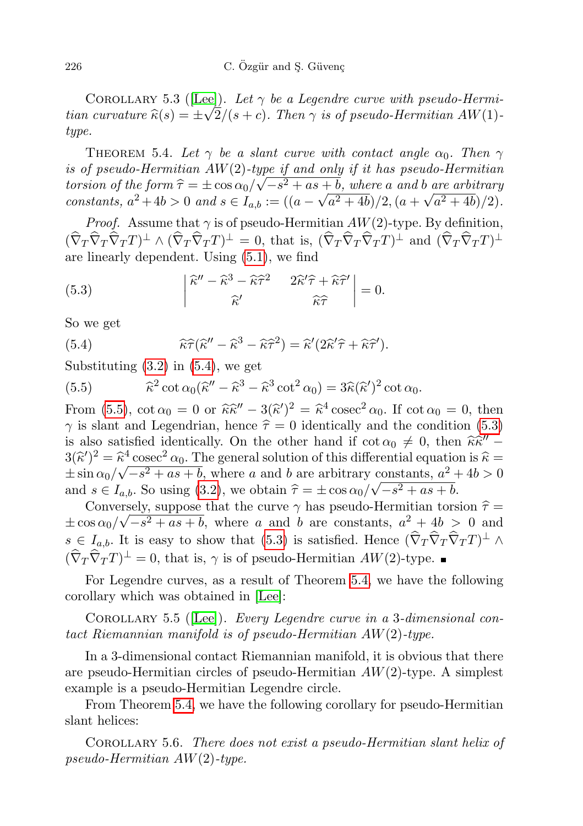COROLLARY 5.3 ([\[Lee\]](#page-11-3)). Let  $\gamma$  be a Legendre curve with pseudo-Hermitian curvature  $\widehat{\kappa}(s) = \pm \sqrt{2/(s + c)}$ . Then  $\gamma$  is of pseudo-Hermitian AW(1)type.

<span id="page-9-3"></span>THEOREM 5.4. Let  $\gamma$  be a slant curve with contact angle  $\alpha_0$ . Then  $\gamma$ *is of pseudo-Hermitian AW*(2)-type if and only if it has pseudo-Hermitian torsion of the form  $\hat{\tau} = \pm \cos \alpha_0 / \sqrt{-s^2 + as + b}$ , where a and b are arbitrary<br>constants  $a^2 + 4b > 0$  and  $s \in I$ ,  $\cdots = ((a - \sqrt{a^2 + 4b})/2 - (a + \sqrt{a^2 + 4b})/2)$ constants,  $a^2 + 4b > 0$  and  $s \in I_{a,b} := ((a - \sqrt{a^2 + 4b})/2, (a + \sqrt{a^2 + 4b})/2)$ .

*Proof.* Assume that  $\gamma$  is of pseudo-Hermitian  $AW(2)$ -type. By definition,  $(\widehat{\nabla}_T \widehat{\nabla}_T T)^{\perp} \wedge (\widehat{\nabla}_T \widehat{\nabla}_T T)^{\perp} = 0$ , that is,  $(\widehat{\nabla}_T \widehat{\nabla}_T T)^{\perp}$  and  $(\widehat{\nabla}_T \widehat{\nabla}_T T)^{\perp}$ are linearly dependent. Using [\(5.1\)](#page-8-0), we find

<span id="page-9-2"></span>(5.3) 
$$
\begin{vmatrix} \hat{\kappa}'' - \hat{\kappa}^3 - \hat{\kappa}\hat{\tau}^2 & 2\hat{\kappa}'\hat{\tau} + \hat{\kappa}\hat{\tau}' \\ \hat{\kappa}' & \hat{\kappa}\hat{\tau} \end{vmatrix} = 0.
$$

So we get

<span id="page-9-0"></span>(5.4) 
$$
\widehat{\kappa}\widehat{\tau}(\widehat{\kappa}'' - \widehat{\kappa}^3 - \widehat{\kappa}\widehat{\tau}^2) = \widehat{\kappa}'(2\widehat{\kappa}'\widehat{\tau} + \widehat{\kappa}\widehat{\tau}').
$$

Substituting  $(3.2)$  in  $(5.4)$ , we get

<span id="page-9-1"></span>(5.5) 
$$
\widehat{\kappa}^2 \cot \alpha_0 (\widehat{\kappa}'' - \widehat{\kappa}^3 - \widehat{\kappa}^3 \cot^2 \alpha_0) = 3\widehat{\kappa} (\widehat{\kappa}')^2 \cot \alpha_0.
$$

From [\(5.5\)](#page-9-1),  $\cot \alpha_0 = 0$  or  $\hat{\kappa} \hat{\kappa}'' - 3(\hat{\kappa}')^2 = \hat{\kappa}^4 \csc^2 \alpha_0$ . If  $\cot \alpha_0 = 0$ , then  $\gamma$  is slant and Legendrian, hence  $\hat{\tau} = 0$  identically and the condition [\(5.3\)](#page-9-2) is also satisfied identically. On the other hand if  $\cot \alpha_0 \neq 0$ , then  $\hat{\kappa} \hat{\kappa}'' - 3(\hat{\kappa}')^2 - \hat{\kappa}^4 \cos \alpha^2 \alpha_0$ . The general solution of this differential equation is  $\hat{\kappa}$  $3(\hat{\kappa}')^2 = \hat{\kappa}^4 \csc^2 \alpha_0$ . The general solution of this differential equation is  $\hat{\kappa} = \pm \sin \alpha_0 / \sqrt{c^2 + a \epsilon + b}$ , where g and h are applituary constants,  $a^2 + 4b > 0$ .  $\pm \sin \alpha_0/\sqrt{-s^2 + as + b}$ , where a and b are arbitrary constants,  $a^2 + 4b > 0$ and  $s \in I_{a,b}$ . So using [\(3.2\)](#page-4-3), we obtain  $\hat{\tau} = \pm \cos \alpha_0 / \sqrt{-s^2 + as + b}$ .<br>Conversely suppose that the surve  $\alpha$  has pseudo Hermitian term

Conversely, suppose that the curve  $\gamma$  has pseudo-Hermitian torsion  $\hat{\tau} = \frac{\gamma_1^2 + \gamma_2^2 + \gamma_3^2 + \gamma_4^2}{2\gamma_1^2 + \gamma_5^2 + \gamma_6^2 + \gamma_7^2}$  $\pm \cos \alpha_0/\sqrt{-s^2 + as + b}$ , where a and b are constants,  $a^2 + 4b > 0$  and  $s \in I_{a,b}$ . It is easy to show that [\(5.3\)](#page-9-2) is satisfied. Hence  $(\widehat{\nabla}_T \widehat{\nabla}_T \widehat{\nabla}_T T)^{\perp} \wedge$  $(\widehat{\nabla}_T \widehat{\nabla}_T T)^{\perp} = 0$ , that is,  $\gamma$  is of pseudo-Hermitian  $AW(2)$ -type.

For Legendre curves, as a result of Theorem [5.4,](#page-9-3) we have the following corollary which was obtained in [\[Lee\]](#page-11-3):

COROLLARY 5.5 ([\[Lee\]](#page-11-3)). Every Legendre curve in a 3-dimensional contact Riemannian manifold is of pseudo-Hermitian AW(2)-type.

In a 3-dimensional contact Riemannian manifold, it is obvious that there are pseudo-Hermitian circles of pseudo-Hermitian  $AW(2)$ -type. A simplest example is a pseudo-Hermitian Legendre circle.

From Theorem [5.4,](#page-9-3) we have the following corollary for pseudo-Hermitian slant helices:

Corollary 5.6. There does not exist a pseudo-Hermitian slant helix of pseudo-Hermitian AW(2)-type.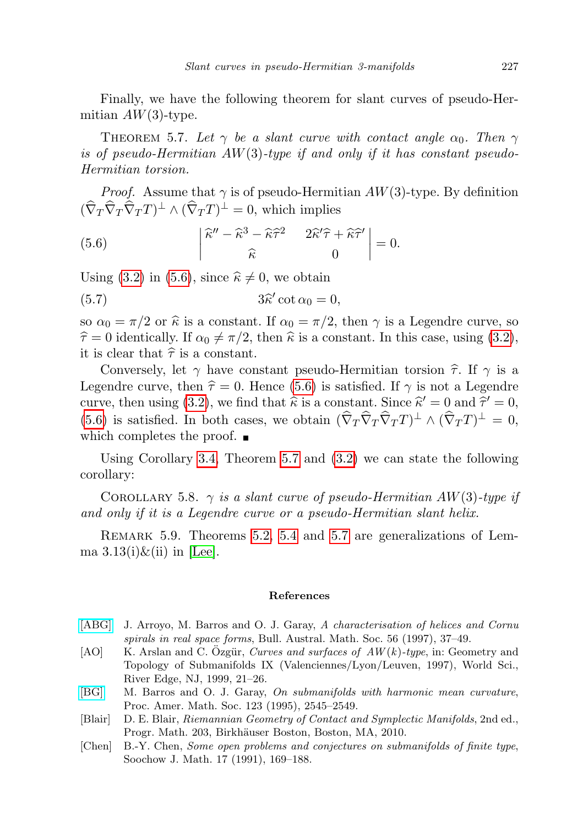Finally, we have the following theorem for slant curves of pseudo-Hermitian  $AW(3)$ -type.

<span id="page-10-6"></span>THEOREM 5.7. Let  $\gamma$  be a slant curve with contact angle  $\alpha_0$ . Then  $\gamma$ is of pseudo-Hermitian  $AW(3)$ -type if and only if it has constant pseudo-Hermitian torsion.

*Proof.* Assume that  $\gamma$  is of pseudo-Hermitian  $AW(3)$ -type. By definition  $(\widehat{\nabla}_T \widehat{\nabla}_T \widehat{\nabla}_T T)^{\perp} \wedge (\widehat{\nabla}_T T)^{\perp} = 0$ , which implies

<span id="page-10-5"></span>(5.6) 
$$
\begin{vmatrix} \hat{\kappa}'' - \hat{\kappa}^3 - \hat{\kappa}\hat{\tau}^2 & 2\hat{\kappa}'\hat{\tau} + \hat{\kappa}\hat{\tau}' \\ \hat{\kappa} & 0 \end{vmatrix} = 0.
$$

Using [\(3.2\)](#page-4-3) in [\(5.6\)](#page-10-5), since  $\hat{\kappa} \neq 0$ , we obtain

(5.7) 
$$
3\widehat{\kappa}' \cot \alpha_0 = 0,
$$

so  $\alpha_0 = \pi/2$  or  $\hat{\kappa}$  is a constant. If  $\alpha_0 = \pi/2$ , then  $\gamma$  is a Legendre curve, so  $\hat{\tau} = 0$  identically. If  $\alpha_0 \neq \pi/2$ , then  $\hat{\kappa}$  is a constant. In this case, using [\(3.2\)](#page-4-3), it is clear that  $\hat{\tau}$  is a constant.

Conversely, let  $\gamma$  have constant pseudo-Hermitian torsion  $\hat{\tau}$ . If  $\gamma$  is a Legendre curve, then  $\hat{\tau} = 0$ . Hence [\(5.6\)](#page-10-5) is satisfied. If  $\gamma$  is not a Legendre curve, then using [\(3.2\)](#page-4-3), we find that  $\hat{\kappa}$  is a constant. Since  $\hat{\kappa}' = 0$  and  $\hat{\tau}' = 0$ ,<br>(5.6) is satisfied. In hoth sasse, we altain  $(\hat{\nabla}, \hat{\nabla}, \hat{\nabla}, T) \perp_{\phi} (\hat{\nabla}, T) \perp_{\phi} = 0$ [\(5.6\)](#page-10-5) is satisfied. In both cases, we obtain  $(\widehat{\nabla}_T \widehat{\nabla}_T \widehat{\nabla}_T T)^{\perp} \wedge (\widehat{\nabla}_T T)^{\perp} = 0$ , which completes the proof.  $\blacksquare$ 

Using Corollary [3.4,](#page-4-2) Theorem [5.7](#page-10-6) and [\(3.2\)](#page-4-3) we can state the following corollary:

COROLLARY 5.8.  $\gamma$  is a slant curve of pseudo-Hermitian AW(3)-type if and only if it is a Legendre curve or a pseudo-Hermitian slant helix.

REMARK 5.9. Theorems [5.2,](#page-8-2) [5.4](#page-9-3) and [5.7](#page-10-6) are generalizations of Lemma  $3.13(i)\&$ (ii) in [\[Lee\]](#page-11-3).

## References

- <span id="page-10-2"></span>[\[ABG\]](http://dx.doi.org/10.1017/S0004972700030719) J. Arroyo, M. Barros and O. J. Garay, A characterisation of helices and Cornu spirals in real space forms, Bull. Austral. Math. Soc. 56 (1997), 37–49.
- <span id="page-10-3"></span>[AO] K. Arslan and C. Özgür, Curves and surfaces of  $AW(k)$ -type, in: Geometry and Topology of Submanifolds IX (Valenciennes/Lyon/Leuven, 1997), World Sci., River Edge, NJ, 1999, 21–26.
- <span id="page-10-1"></span>[\[BG\]](http://dx.doi.org/10.1090/S0002-9939-1995-1254831-7) M. Barros and O. J. Garay, On submanifolds with harmonic mean curvature, Proc. Amer. Math. Soc. 123 (1995), 2545–2549.
- <span id="page-10-4"></span>[Blair] D. E. Blair, Riemannian Geometry of Contact and Symplectic Manifolds, 2nd ed., Progr. Math. 203, Birkhäuser Boston, Boston, MA, 2010.
- <span id="page-10-0"></span>[Chen] B.-Y. Chen, Some open problems and conjectures on submanifolds of finite type, Soochow J. Math. 17 (1991), 169–188.